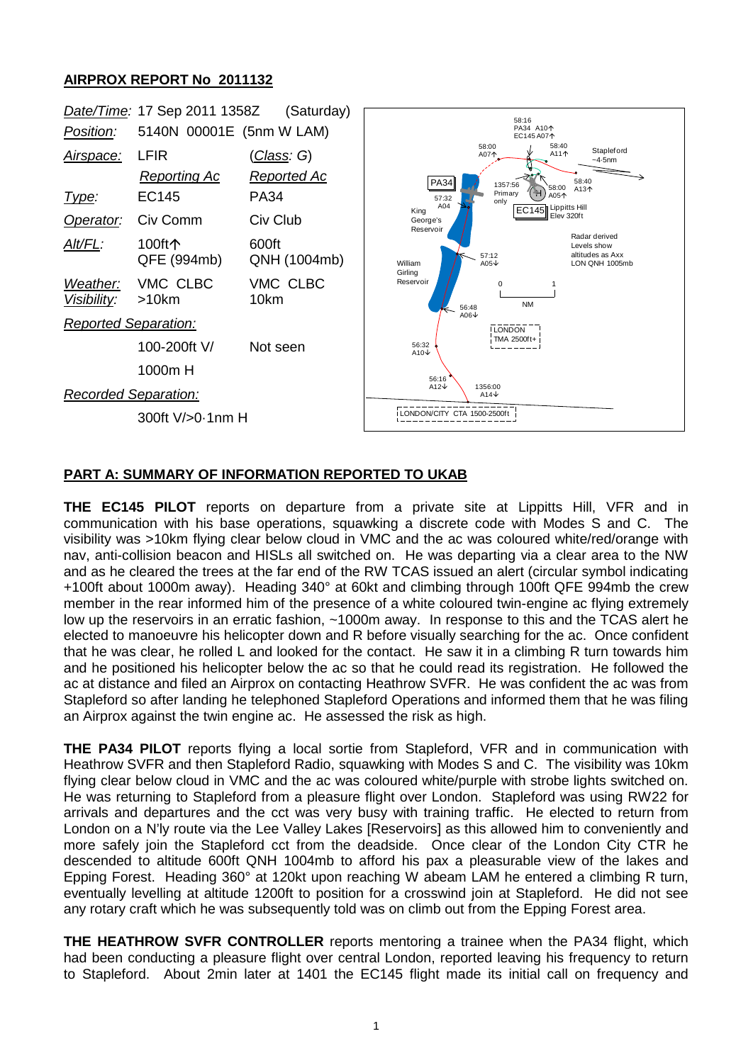## **AIRPROX REPORT No 2011132**



## **PART A: SUMMARY OF INFORMATION REPORTED TO UKAB**

**THE EC145 PILOT** reports on departure from a private site at Lippitts Hill, VFR and in communication with his base operations, squawking a discrete code with Modes S and C. The visibility was >10km flying clear below cloud in VMC and the ac was coloured white/red/orange with nav, anti-collision beacon and HISLs all switched on. He was departing via a clear area to the NW and as he cleared the trees at the far end of the RW TCAS issued an alert (circular symbol indicating +100ft about 1000m away). Heading 340° at 60kt and climbing through 100ft QFE 994mb the crew member in the rear informed him of the presence of a white coloured twin-engine ac flying extremely low up the reservoirs in an erratic fashion, ~1000m away. In response to this and the TCAS alert he elected to manoeuvre his helicopter down and R before visually searching for the ac. Once confident that he was clear, he rolled L and looked for the contact. He saw it in a climbing R turn towards him and he positioned his helicopter below the ac so that he could read its registration. He followed the ac at distance and filed an Airprox on contacting Heathrow SVFR. He was confident the ac was from Stapleford so after landing he telephoned Stapleford Operations and informed them that he was filing an Airprox against the twin engine ac. He assessed the risk as high.

**THE PA34 PILOT** reports flying a local sortie from Stapleford, VFR and in communication with Heathrow SVFR and then Stapleford Radio, squawking with Modes S and C. The visibility was 10km flying clear below cloud in VMC and the ac was coloured white/purple with strobe lights switched on. He was returning to Stapleford from a pleasure flight over London. Stapleford was using RW22 for arrivals and departures and the cct was very busy with training traffic. He elected to return from London on a N'ly route via the Lee Valley Lakes [Reservoirs] as this allowed him to conveniently and more safely join the Stapleford cct from the deadside. Once clear of the London City CTR he descended to altitude 600ft QNH 1004mb to afford his pax a pleasurable view of the lakes and Epping Forest. Heading 360° at 120kt upon reaching W abeam LAM he entered a climbing R turn, eventually levelling at altitude 1200ft to position for a crosswind join at Stapleford. He did not see any rotary craft which he was subsequently told was on climb out from the Epping Forest area.

**THE HEATHROW SVFR CONTROLLER** reports mentoring a trainee when the PA34 flight, which had been conducting a pleasure flight over central London, reported leaving his frequency to return to Stapleford. About 2min later at 1401 the EC145 flight made its initial call on frequency and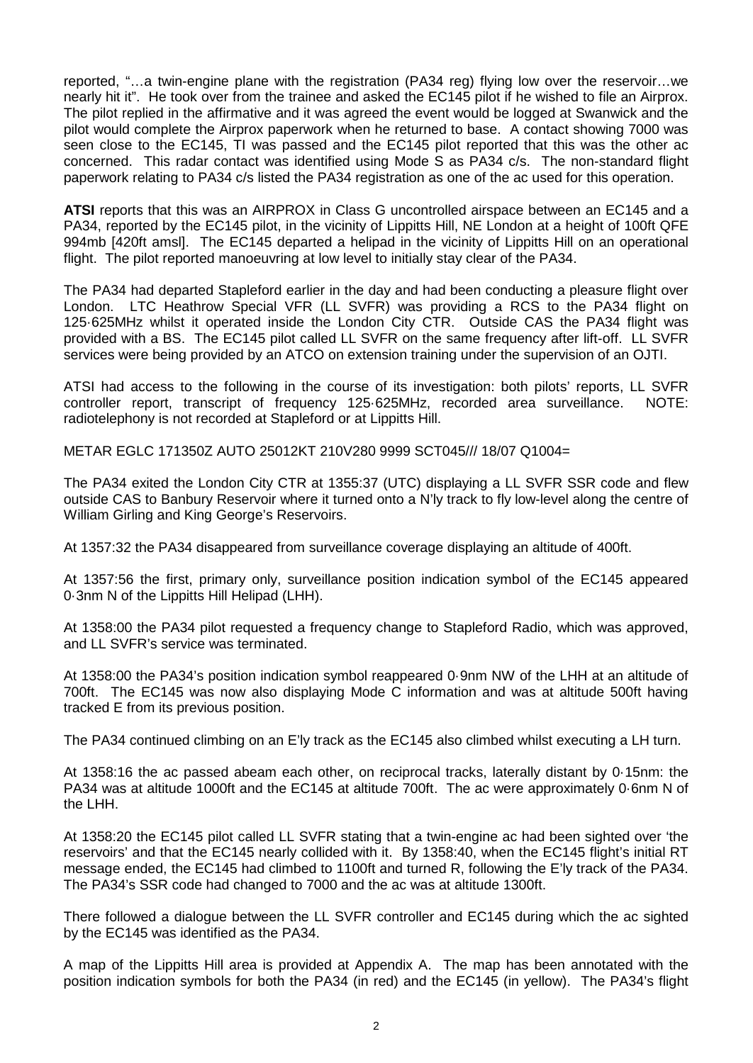reported, "…a twin-engine plane with the registration (PA34 reg) flying low over the reservoir…we nearly hit it". He took over from the trainee and asked the EC145 pilot if he wished to file an Airprox. The pilot replied in the affirmative and it was agreed the event would be logged at Swanwick and the pilot would complete the Airprox paperwork when he returned to base. A contact showing 7000 was seen close to the EC145, TI was passed and the EC145 pilot reported that this was the other ac concerned. This radar contact was identified using Mode S as PA34 c/s. The non-standard flight paperwork relating to PA34 c/s listed the PA34 registration as one of the ac used for this operation.

**ATSI** reports that this was an AIRPROX in Class G uncontrolled airspace between an EC145 and a PA34, reported by the EC145 pilot, in the vicinity of Lippitts Hill, NE London at a height of 100ft QFE 994mb [420ft amsl]. The EC145 departed a helipad in the vicinity of Lippitts Hill on an operational flight. The pilot reported manoeuvring at low level to initially stay clear of the PA34.

The PA34 had departed Stapleford earlier in the day and had been conducting a pleasure flight over London. LTC Heathrow Special VFR (LL SVFR) was providing a RCS to the PA34 flight on 125·625MHz whilst it operated inside the London City CTR. Outside CAS the PA34 flight was provided with a BS. The EC145 pilot called LL SVFR on the same frequency after lift-off. LL SVFR services were being provided by an ATCO on extension training under the supervision of an OJTI.

ATSI had access to the following in the course of its investigation: both pilots' reports, LL SVFR controller report, transcript of frequency 125·625MHz, recorded area surveillance. NOTE: radiotelephony is not recorded at Stapleford or at Lippitts Hill.

METAR EGLC 171350Z AUTO 25012KT 210V280 9999 SCT045/// 18/07 Q1004=

The PA34 exited the London City CTR at 1355:37 (UTC) displaying a LL SVFR SSR code and flew outside CAS to Banbury Reservoir where it turned onto a N'ly track to fly low-level along the centre of William Girling and King George's Reservoirs.

At 1357:32 the PA34 disappeared from surveillance coverage displaying an altitude of 400ft.

At 1357:56 the first, primary only, surveillance position indication symbol of the EC145 appeared 0·3nm N of the Lippitts Hill Helipad (LHH).

At 1358:00 the PA34 pilot requested a frequency change to Stapleford Radio, which was approved, and LL SVFR's service was terminated.

At 1358:00 the PA34's position indication symbol reappeared 0·9nm NW of the LHH at an altitude of 700ft. The EC145 was now also displaying Mode C information and was at altitude 500ft having tracked E from its previous position.

The PA34 continued climbing on an E'ly track as the EC145 also climbed whilst executing a LH turn.

At 1358:16 the ac passed abeam each other, on reciprocal tracks, laterally distant by 0·15nm: the PA34 was at altitude 1000ft and the EC145 at altitude 700ft. The ac were approximately 0·6nm N of the LHH.

At 1358:20 the EC145 pilot called LL SVFR stating that a twin-engine ac had been sighted over 'the reservoirs' and that the EC145 nearly collided with it. By 1358:40, when the EC145 flight's initial RT message ended, the EC145 had climbed to 1100ft and turned R, following the E'ly track of the PA34. The PA34's SSR code had changed to 7000 and the ac was at altitude 1300ft.

There followed a dialogue between the LL SVFR controller and EC145 during which the ac sighted by the EC145 was identified as the PA34.

A map of the Lippitts Hill area is provided at Appendix A. The map has been annotated with the position indication symbols for both the PA34 (in red) and the EC145 (in yellow). The PA34's flight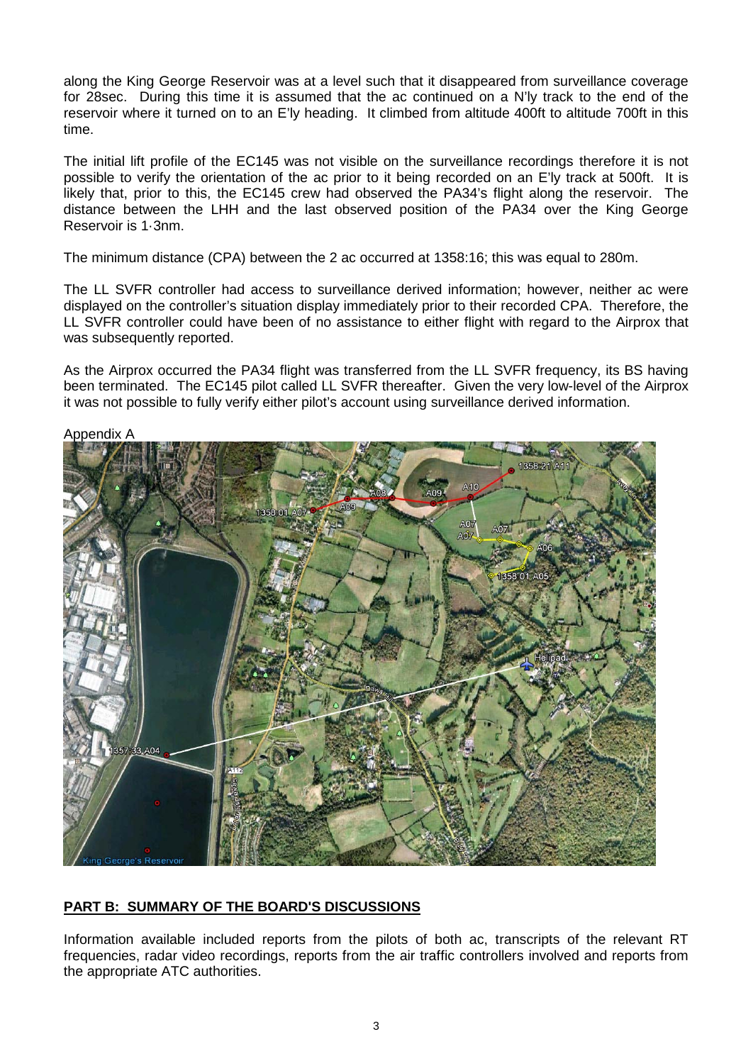along the King George Reservoir was at a level such that it disappeared from surveillance coverage for 28sec. During this time it is assumed that the ac continued on a N'ly track to the end of the reservoir where it turned on to an E'ly heading. It climbed from altitude 400ft to altitude 700ft in this time.

The initial lift profile of the EC145 was not visible on the surveillance recordings therefore it is not possible to verify the orientation of the ac prior to it being recorded on an E'ly track at 500ft. It is likely that, prior to this, the EC145 crew had observed the PA34's flight along the reservoir. The distance between the LHH and the last observed position of the PA34 over the King George Reservoir is 1·3nm.

The minimum distance (CPA) between the 2 ac occurred at 1358:16; this was equal to 280m.

The LL SVFR controller had access to surveillance derived information; however, neither ac were displayed on the controller's situation display immediately prior to their recorded CPA. Therefore, the LL SVFR controller could have been of no assistance to either flight with regard to the Airprox that was subsequently reported.

As the Airprox occurred the PA34 flight was transferred from the LL SVFR frequency, its BS having been terminated. The EC145 pilot called LL SVFR thereafter. Given the very low-level of the Airprox it was not possible to fully verify either pilot's account using surveillance derived information.



## **PART B: SUMMARY OF THE BOARD'S DISCUSSIONS**

Information available included reports from the pilots of both ac, transcripts of the relevant RT frequencies, radar video recordings, reports from the air traffic controllers involved and reports from the appropriate ATC authorities.